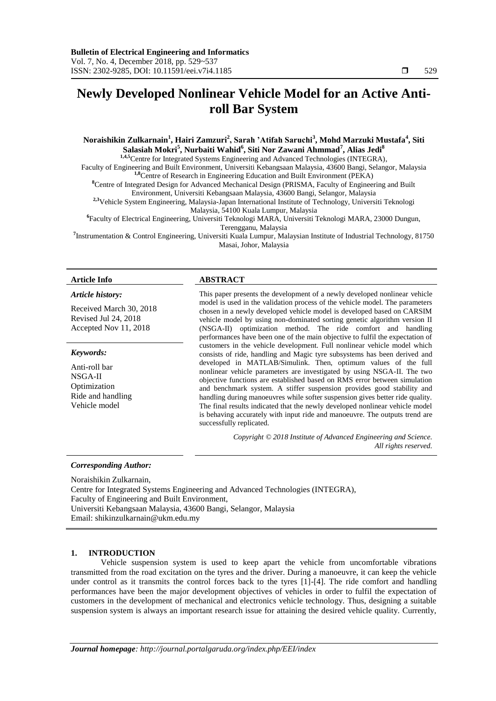# **Newly Developed Nonlinear Vehicle Model for an Active Antiroll Bar System**

# **Noraishikin Zulkarnain<sup>1</sup> , Hairi Zamzuri<sup>2</sup> , Sarah 'Atifah Saruchi<sup>3</sup> , Mohd Marzuki Mustafa<sup>4</sup> , Siti Salasiah Mokri<sup>5</sup> , Nurbaiti Wahid<sup>6</sup> , Siti Nor Zawani Ahmmad<sup>7</sup> , Alias Jedi<sup>8</sup>**

**1,4,5**Centre for Integrated Systems Engineering and Advanced Technologies (INTEGRA), Faculty of Engineering and Built Environment, Universiti Kebangsaan Malaysia, 43600 Bangi, Selangor, Malaysia **1,8**Centre of Research in Engineering Education and Built Environment (PEKA) **<sup>8</sup>**Centre of Integrated Design for Advanced Mechanical Design (PRISMA, Faculty of Engineering and Built Environment, Universiti Kebangsaan Malaysia, 43600 Bangi, Selangor, Malaysia **2,3**Vehicle System Engineering, Malaysia-Japan International Institute of Technology, Universiti Teknologi Malaysia, 54100 Kuala Lumpur, Malaysia **6** Faculty of Electrical Engineering, Universiti Teknologi MARA, Universiti Teknologi MARA, 23000 Dungun,

Terengganu, Malaysia **7** Instrumentation & Control Engineering, Universiti Kuala Lumpur, Malaysian Institute of Industrial Technology, 81750 Masai, Johor, Malaysia

#### *Article history:*

Received March 30, 2018 Revised Jul 24, 2018 Accepted Nov 11, 2018

#### *Keywords:*

Anti-roll bar NSGA-II Optimization Ride and handling Vehicle model

#### **Article Info ABSTRACT**

This paper presents the development of a newly developed nonlinear vehicle model is used in the validation process of the vehicle model. The parameters chosen in a newly developed vehicle model is developed based on CARSIM vehicle model by using non-dominated sorting genetic algorithm version II (NSGA-II) optimization method. The ride comfort and handling performances have been one of the main objective to fulfil the expectation of customers in the vehicle development. Full nonlinear vehicle model which consists of ride, handling and Magic tyre subsystems has been derived and developed in MATLAB/Simulink. Then, optimum values of the full nonlinear vehicle parameters are investigated by using NSGA-II. The two objective functions are established based on RMS error between simulation and benchmark system. A stiffer suspension provides good stability and handling during manoeuvres while softer suspension gives better ride quality. The final results indicated that the newly developed nonlinear vehicle model is behaving accurately with input ride and manoeuvre. The outputs trend are successfully replicated.

> *Copyright © 2018 Institute of Advanced Engineering and Science. All rights reserved.*

# *Corresponding Author:*

Noraishikin Zulkarnain, Centre for Integrated Systems Engineering and Advanced Technologies (INTEGRA), Faculty of Engineering and Built Environment, Universiti Kebangsaan Malaysia, 43600 Bangi, Selangor, Malaysia Email: shikinzulkarnain@ukm.edu.my

# **1. INTRODUCTION**

Vehicle suspension system is used to keep apart the vehicle from uncomfortable vibrations transmitted from the road excitation on the tyres and the driver. During a manoeuvre, it can keep the vehicle under control as it transmits the control forces back to the tyres [1]-[4]. The ride comfort and handling performances have been the major development objectives of vehicles in order to fulfil the expectation of customers in the development of mechanical and electronics vehicle technology. Thus, designing a suitable suspension system is always an important research issue for attaining the desired vehicle quality. Currently,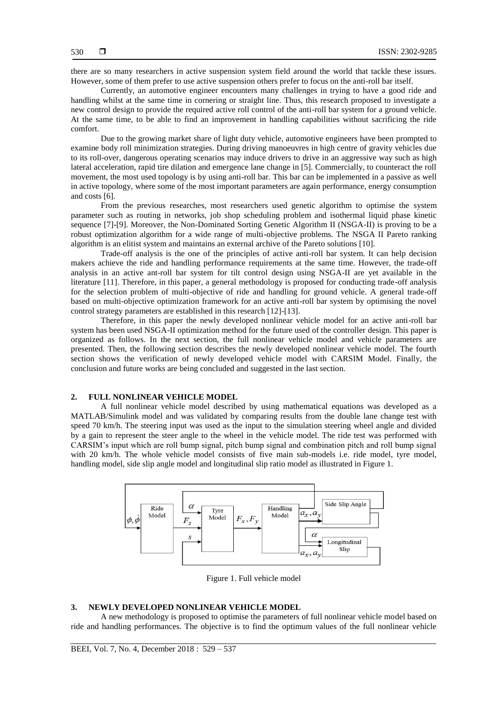there are so many researchers in active suspension system field around the world that tackle these issues. However, some of them prefer to use active suspension others prefer to focus on the anti-roll bar itself.

Currently, an automotive engineer encounters many challenges in trying to have a good ride and handling whilst at the same time in cornering or straight line. Thus, this research proposed to investigate a new control design to provide the required active roll control of the anti-roll bar system for a ground vehicle. At the same time, to be able to find an improvement in handling capabilities without sacrificing the ride comfort.

Due to the growing market share of light duty vehicle, automotive engineers have been prompted to examine body roll minimization strategies. During driving manoeuvres in high centre of gravity vehicles due to its roll-over, dangerous operating scenarios may induce drivers to drive in an aggressive way such as high lateral acceleration, rapid tire dilation and emergence lane change in [5]. Commercially, to counteract the roll movement, the most used topology is by using anti-roll bar. This bar can be implemented in a passive as well in active topology, where some of the most important parameters are again performance, energy consumption and costs [6].

From the previous researches, most researchers used genetic algorithm to optimise the system parameter such as routing in networks, job shop scheduling problem and isothermal liquid phase kinetic sequence [7]-[9]. Moreover, the Non-Dominated Sorting Genetic Algorithm II (NSGA-II) is proving to be a robust optimization algorithm for a wide range of multi-objective problems. The NSGA II Pareto ranking algorithm is an elitist system and maintains an external archive of the Pareto solutions [10].

Trade-off analysis is the one of the principles of active anti-roll bar system. It can help decision makers achieve the ride and handling performance requirements at the same time. However, the trade-off analysis in an active ant-roll bar system for tilt control design using NSGA-II are yet available in the literature [11]. Therefore, in this paper, a general methodology is proposed for conducting trade-off analysis for the selection problem of multi-objective of ride and handling for ground vehicle. A general trade-off based on multi-objective optimization framework for an active anti-roll bar system by optimising the novel control strategy parameters are established in this research [12]-[13].

Therefore, in this paper the newly developed nonlinear vehicle model for an active anti-roll bar system has been used NSGA-II optimization method for the future used of the controller design. This paper is organized as follows. In the next section, the full nonlinear vehicle model and vehicle parameters are presented. Then, the following section describes the newly developed nonlinear vehicle model. The fourth section shows the verification of newly developed vehicle model with CARSIM Model. Finally, the conclusion and future works are being concluded and suggested in the last section.

# **2. FULL NONLINEAR VEHICLE MODEL**

A full nonlinear vehicle model described by using mathematical equations was developed as a MATLAB/Simulink model and was validated by comparing results from the double lane change test with speed 70 km/h. The steering input was used as the input to the simulation steering wheel angle and divided by a gain to represent the steer angle to the wheel in the vehicle model. The ride test was performed with CARSIM's input which are roll bump signal, pitch bump signal and combination pitch and roll bump signal with 20 km/h. The whole vehicle model consists of five main sub-models i.e. ride model, tyre model, handling model, side slip angle model and longitudinal slip ratio model as illustrated in Figure 1.



Figure 1. Full vehicle model

# **3. NEWLY DEVELOPED NONLINEAR VEHICLE MODEL**

A new methodology is proposed to optimise the parameters of full nonlinear vehicle model based on ride and handling performances. The objective is to find the optimum values of the full nonlinear vehicle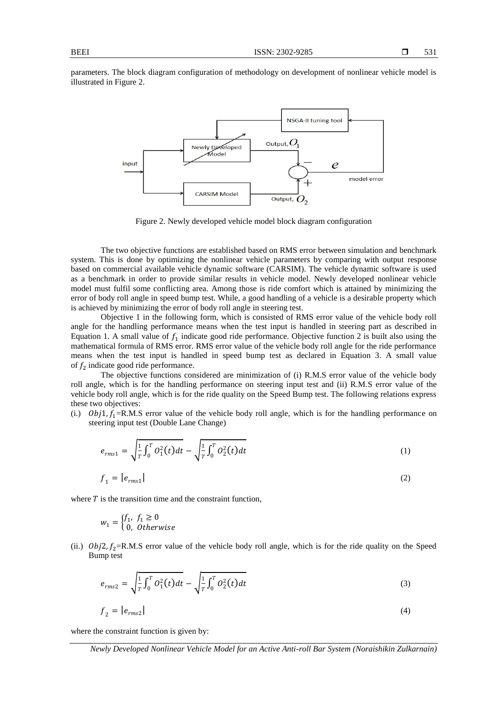parameters. The block diagram configuration of methodology on development of nonlinear vehicle model is illustrated in Figure 2.



Figure 2. Newly developed vehicle model block diagram configuration

The two objective functions are established based on RMS error between simulation and benchmark system. This is done by optimizing the nonlinear vehicle parameters by comparing with output response based on commercial available vehicle dynamic software (CARSIM). The vehicle dynamic software is used as a benchmark in order to provide similar results in vehicle model. Newly developed nonlinear vehicle model must fulfil some conflicting area. Among those is ride comfort which is attained by minimizing the error of body roll angle in speed bump test. While, a good handling of a vehicle is a desirable property which is achieved by minimizing the error of body roll angle in steering test.

Objective 1 in the following form, which is consisted of RMS error value of the vehicle body roll angle for the handling performance means when the test input is handled in steering part as described in Equation 1. A small value of  $f_1$  indicate good ride performance. Objective function 2 is built also using the mathematical formula of RMS error. RMS error value of the vehicle body roll angle for the ride performance means when the test input is handled in speed bump test as declared in Equation 3. A small value of  $f_2$  indicate good ride performance.

The objective functions considered are minimization of (i) R.M.S error value of the vehicle body roll angle, which is for the handling performance on steering input test and (ii) R.M.S error value of the vehicle body roll angle, which is for the ride quality on the Speed Bump test. The following relations express these two objectives:

(i.)  $Obj1, f_1 = R.M.S$  error value of the vehicle body roll angle, which is for the handling performance on steering input test (Double Lane Change)

$$
e_{rms1} = \sqrt{\frac{1}{T} \int_0^T O_1^2(t) dt} - \sqrt{\frac{1}{T} \int_0^T O_2^2(t) dt}
$$
\n(1)\n  
\n
$$
f_1 = |e_{rms1}|
$$
\n(2)

where  $T$  is the transition time and the constraint function,

$$
w_1 = \begin{cases} f_1, & f_1 \ge 0 \\ 0, & Otherwise \end{cases}
$$

(ii.)  $Obj2, f_2=R.M.S$  error value of the vehicle body roll angle, which is for the ride quality on the Speed Bump test

$$
e_{rms2} = \sqrt{\frac{1}{T} \int_0^T O_1^2(t) dt} - \sqrt{\frac{1}{T} \int_0^T O_2^2(t) dt}
$$
\n(3)

$$
f_2 = |e_{rms2}| \tag{4}
$$

where the constraint function is given by: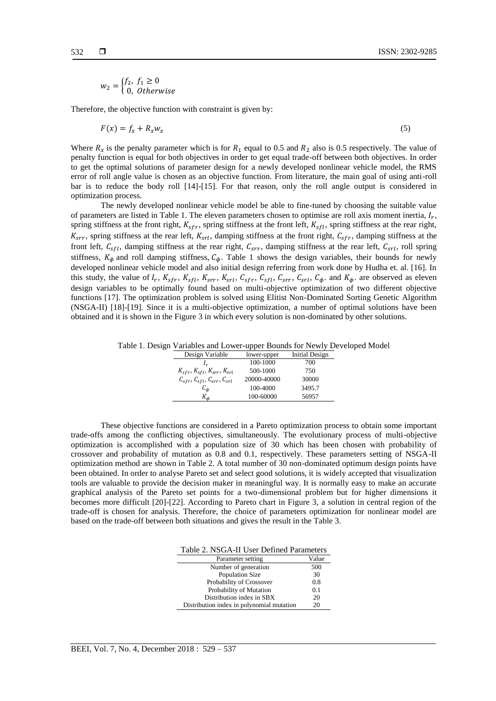$$
w_2 = \begin{cases} f_2, & f_1 \ge 0 \\ 0, & Otherwise \end{cases}
$$

Therefore, the objective function with constraint is given by:

$$
F(x) = f_x + R_x w_x \tag{5}
$$

Where  $R_x$  is the penalty parameter which is for  $R_1$  equal to 0.5 and  $R_2$  also is 0.5 respectively. The value of penalty function is equal for both objectives in order to get equal trade-off between both objectives. In order to get the optimal solutions of parameter design for a newly developed nonlinear vehicle model, the RMS error of roll angle value is chosen as an objective function. From literature, the main goal of using anti-roll bar is to reduce the body roll [14]-[15]. For that reason, only the roll angle output is considered in optimization process.

The newly developed nonlinear vehicle model be able to fine-tuned by choosing the suitable value of parameters are listed in Table 1. The eleven parameters chosen to optimise are roll axis moment inertia,  $I_r$ , spring stiffness at the front right,  $K_{sfr}$ , spring stiffness at the front left,  $K_{sft}$ , spring stiffness at the rear right,  $K_{\text{ST}r}$ , spring stiffness at the rear left,  $K_{\text{ST}l}$ , damping stiffness at the front right,  $C_{\text{ST}r}$ , damping stiffness at the front left,  $C_{sfl}$ , damping stiffness at the rear right,  $C_{srr}$ , damping stiffness at the rear left,  $C_{srl}$ , roll spring stiffness,  $K_{\phi}$  and roll damping stiffness,  $C_{\phi}$ . Table 1 shows the design variables, their bounds for newly developed nonlinear vehicle model and also initial design referring from work done by Hudha et. al. [16]. In this study, the value of  $I_r$ ,  $K_{sfr}$ ,  $K_{sfl}$ ,  $K_{srr}$ ,  $K_{srl}$ ,  $C_{sfr}$ ,  $C_{sfl}$ ,  $C_{srr}$ ,  $C_{srl}$ ,  $C_{\phi}$ . and  $K_{\phi}$ . are observed as eleven design variables to be optimally found based on multi-objective optimization of two different objective functions [17]. The optimization problem is solved using Elitist Non-Dominated Sorting Genetic Algorithm (NSGA-II) [18]-[19]. Since it is a multi-objective optimization, a number of optimal solutions have been obtained and it is shown in the Figure 3 in which every solution is non-dominated by other solutions.

Table 1. Design Variables and Lower-upper Bounds for Newly Developed Model

| Design Variable                                                                       | lower-upper | Initial Design |
|---------------------------------------------------------------------------------------|-------------|----------------|
| I <sub>r</sub>                                                                        | 100-1000    | 700            |
| $K_{sfr}$ , $K_{sfl}$ , $K_{srr}$ , $K_{srl}$                                         | 500-1000    | 750            |
| $\mathcal{C}_{sfr}$ , $\mathcal{C}_{sfl}$ , $\mathcal{C}_{srr}$ , $\mathcal{C}_{srl}$ | 20000-40000 | 30000          |
| $\mathcal{C}_{\boldsymbol{d}}$                                                        | 100-4000    | 3495.7         |
| $K_{\boldsymbol{\phi}}$                                                               | 100-60000   | 56957          |

These objective functions are considered in a Pareto optimization process to obtain some important trade-offs among the conflicting objectives, simultaneously. The evolutionary process of multi-objective optimization is accomplished with a population size of 30 which has been chosen with probability of crossover and probability of mutation as 0.8 and 0.1, respectively. These parameters setting of NSGA-II optimization method are shown in Table 2. A total number of 30 non-dominated optimum design points have been obtained. In order to analyse Pareto set and select good solutions, it is widely accepted that visualization tools are valuable to provide the decision maker in meaningful way. It is normally easy to make an accurate graphical analysis of the Pareto set points for a two-dimensional problem but for higher dimensions it becomes more difficult [20]-[22]. According to Pareto chart in Figure 3, a solution in central region of the trade-off is chosen for analysis. Therefore, the choice of parameters optimization for nonlinear model are based on the trade-off between both situations and gives the result in the Table 3.

Table 2. NSGA-II User Defined Parameters

| Parameter setting                         | Value |
|-------------------------------------------|-------|
| Number of generation                      | 500   |
| <b>Population Size</b>                    | 30    |
| Probability of Crossover                  | 0.8   |
| Probability of Mutation                   | 0.1   |
| Distribution index in SBX                 | 20    |
| Distribution index in polynomial mutation | 20    |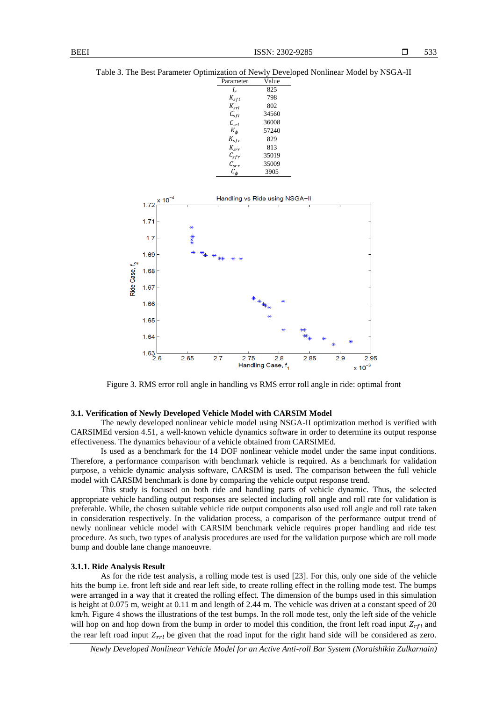Table 3. The Best Parameter Optimization of Newly Developed Nonlinear Model by NSGA-II

| Parameter                         | Value |
|-----------------------------------|-------|
| I,                                | 825   |
| $K_{sfl}$                         | 798   |
| $K_{\rm{cyl}}$                    | 802   |
| $C_{sfl}$                         | 34560 |
| $\mathcal{C}_{srl}$               | 36008 |
| $K_{\phi}$                        | 57240 |
| $K_{sfr}$                         | 829   |
| $K_{\rm{err}}$                    | 813   |
| $\mathcal{C}_{sfr}$               | 35019 |
| $\mathcal{C}_{srr}$               | 35009 |
| $\mathcal{C}_{\boldsymbol{\phi}}$ | 3905  |
|                                   |       |



Figure 3. RMS error roll angle in handling vs RMS error roll angle in ride: optimal front

# **3.1. Verification of Newly Developed Vehicle Model with CARSIM Model**

The newly developed nonlinear vehicle model using NSGA-II optimization method is verified with CARSIMEd version 4.51, a well-known vehicle dynamics software in order to determine its output response effectiveness. The dynamics behaviour of a vehicle obtained from CARSIMEd.

Is used as a benchmark for the 14 DOF nonlinear vehicle model under the same input conditions. Therefore, a performance comparison with benchmark vehicle is required. As a benchmark for validation purpose, a vehicle dynamic analysis software, CARSIM is used. The comparison between the full vehicle model with CARSIM benchmark is done by comparing the vehicle output response trend.

This study is focused on both ride and handling parts of vehicle dynamic. Thus, the selected appropriate vehicle handling output responses are selected including roll angle and roll rate for validation is preferable. While, the chosen suitable vehicle ride output components also used roll angle and roll rate taken in consideration respectively. In the validation process, a comparison of the performance output trend of newly nonlinear vehicle model with CARSIM benchmark vehicle requires proper handling and ride test procedure. As such, two types of analysis procedures are used for the validation purpose which are roll mode bump and double lane change manoeuvre.

#### **3.1.1. Ride Analysis Result**

As for the ride test analysis, a rolling mode test is used [23]. For this, only one side of the vehicle hits the bump i.e. front left side and rear left side, to create rolling effect in the rolling mode test. The bumps were arranged in a way that it created the rolling effect. The dimension of the bumps used in this simulation is height at 0.075 m, weight at 0.11 m and length of 2.44 m. The vehicle was driven at a constant speed of 20 km/h. Figure 4 shows the illustrations of the test bumps. In the roll mode test, only the left side of the vehicle will hop on and hop down from the bump in order to model this condition, the front left road input  $Z_{rfl}$  and the rear left road input  $Z_{rrl}$  be given that the road input for the right hand side will be considered as zero.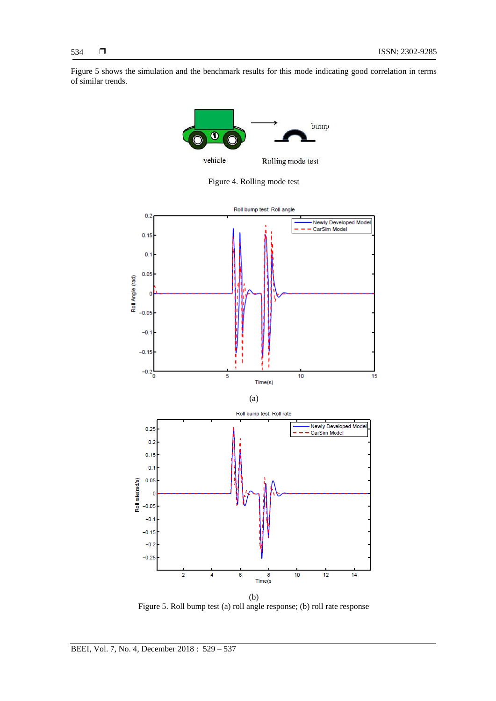Figure 5 shows the simulation and the benchmark results for this mode indicating good correlation in terms of similar trends.



Figure 4. Rolling mode test



Figure 5. Roll bump test (a) roll angle response; (b) roll rate response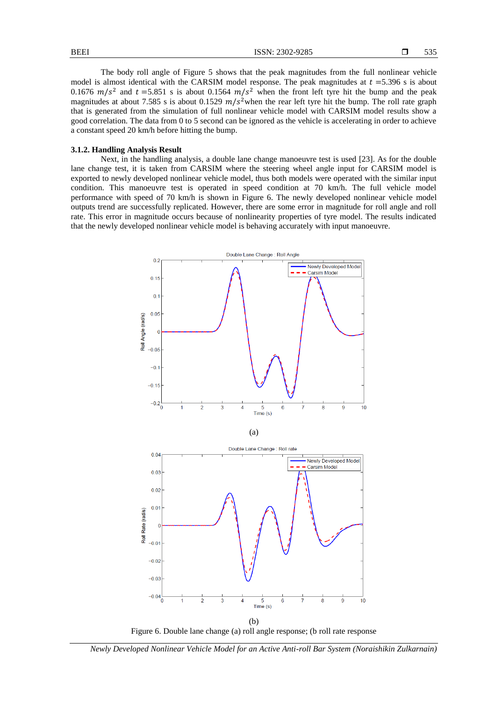The body roll angle of Figure 5 shows that the peak magnitudes from the full nonlinear vehicle model is almost identical with the CARSIM model response. The peak magnitudes at  $t = 5.396$  s is about 0.1676  $m/s^2$  and  $t = 5.851$  s is about 0.1564  $m/s^2$  when the front left tyre hit the bump and the peak magnitudes at about 7.585 s is about 0.1529  $m/s^2$  when the rear left tyre hit the bump. The roll rate graph that is generated from the simulation of full nonlinear vehicle model with CARSIM model results show a good correlation. The data from 0 to 5 second can be ignored as the vehicle is accelerating in order to achieve a constant speed 20 km/h before hitting the bump.

#### **3.1.2. Handling Analysis Result**

Next, in the handling analysis, a double lane change manoeuvre test is used [23]. As for the double lane change test, it is taken from CARSIM where the steering wheel angle input for CARSIM model is exported to newly developed nonlinear vehicle model, thus both models were operated with the similar input condition. This manoeuvre test is operated in speed condition at 70 km/h. The full vehicle model performance with speed of 70 km/h is shown in Figure 6. The newly developed nonlinear vehicle model outputs trend are successfully replicated. However, there are some error in magnitude for roll angle and roll rate. This error in magnitude occurs because of nonlinearity properties of tyre model. The results indicated that the newly developed nonlinear vehicle model is behaving accurately with input manoeuvre.



(b) Figure 6. Double lane change (a) roll angle response; (b roll rate response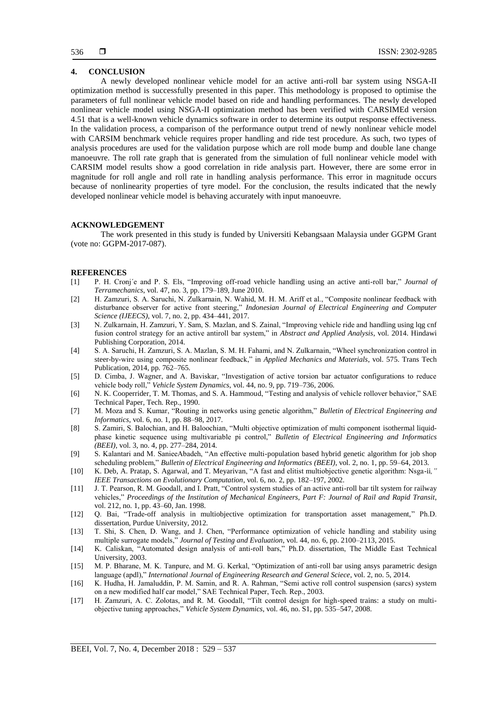# **4. CONCLUSION**

A newly developed nonlinear vehicle model for an active anti-roll bar system using NSGA-II optimization method is successfully presented in this paper. This methodology is proposed to optimise the parameters of full nonlinear vehicle model based on ride and handling performances. The newly developed nonlinear vehicle model using NSGA-II optimization method has been verified with CARSIMEd version 4.51 that is a well-known vehicle dynamics software in order to determine its output response effectiveness. In the validation process, a comparison of the performance output trend of newly nonlinear vehicle model with CARSIM benchmark vehicle requires proper handling and ride test procedure. As such, two types of analysis procedures are used for the validation purpose which are roll mode bump and double lane change manoeuvre. The roll rate graph that is generated from the simulation of full nonlinear vehicle model with CARSIM model results show a good correlation in ride analysis part. However, there are some error in magnitude for roll angle and roll rate in handling analysis performance. This error in magnitude occurs because of nonlinearity properties of tyre model. For the conclusion, the results indicated that the newly developed nonlinear vehicle model is behaving accurately with input manoeuvre.

# **ACKNOWLEDGEMENT**

The work presented in this study is funded by Universiti Kebangsaan Malaysia under GGPM Grant (vote no: GGPM-2017-087).

#### **REFERENCES**

- [1] P. H. Cronj´e and P. S. Els, "Improving off-road vehicle handling using an active anti-roll bar," *Journal of Terramechanics*, vol. 47, no. 3, pp. 179–189, June 2010.
- [2] H. Zamzuri, S. A. Saruchi, N. Zulkarnain, N. Wahid, M. H. M. Ariff et al., "Composite nonlinear feedback with disturbance observer for active front steering," *Indonesian Journal of Electrical Engineering and Computer Science (IJEECS)*, vol. 7, no. 2, pp. 434–441, 2017.
- [3] N. Zulkarnain, H. Zamzuri, Y. Sam, S. Mazlan, and S. Zainal, "Improving vehicle ride and handling using lqg cnf fusion control strategy for an active antiroll bar system," in *Abstract and Applied Analysis*, vol. 2014. Hindawi Publishing Corporation, 2014.
- [4] S. A. Saruchi, H. Zamzuri, S. A. Mazlan, S. M. H. Fahami, and N. Zulkarnain, "Wheel synchronization control in steer-by-wire using composite nonlinear feedback," in *Applied Mechanics and Materials*, vol. 575. Trans Tech Publication, 2014, pp. 762–765.
- [5] D. Cimba, J. Wagner, and A. Baviskar, "Investigation of active torsion bar actuator configurations to reduce vehicle body roll," *Vehicle System Dynamics*, vol. 44, no. 9, pp. 719–736, 2006.
- [6] N. K. Cooperrider, T. M. Thomas, and S. A. Hammoud, "Testing and analysis of vehicle rollover behavior," SAE Technical Paper, Tech. Rep., 1990.
- [7] M. Moza and S. Kumar, "Routing in networks using genetic algorithm," *Bulletin of Electrical Engineering and Informatics*, vol. 6, no. 1, pp. 88–98, 2017.
- [8] S. Zamiri, S. Balochian, and H. Baloochian, "Multi objective optimization of multi component isothermal liquidphase kinetic sequence using multivariable pi control," *Bulletin of Electrical Engineering and Informatics (BEEI)*, vol. 3, no. 4, pp. 277–284, 2014.
- [9] S. Kalantari and M. SanieeAbadeh, "An effective multi-population based hybrid genetic algorithm for job shop scheduling problem," *Bulletin of Electrical Engineering and Informatics (BEEI)*, vol. 2, no. 1, pp. 59–64, 2013.
- [10] K. Deb, A. Pratap, S. Agarwal, and T. Meyarivan, "A fast and elitist multiobjective genetic algorithm: Nsga-ii*," IEEE Transactions on Evolutionary Computation*, vol. 6, no. 2, pp. 182–197, 2002.
- [11] J. T. Pearson, R. M. Goodall, and I. Pratt, "Control system studies of an active anti-roll bar tilt system for railway vehicles," *Proceedings of the Institution of Mechanical Engineers, Part F: Journal of Rail and Rapid Transit*, vol. 212, no. 1, pp. 43–60, Jan. 1998.
- [12] Q. Bai, "Trade-off analysis in multiobjective optimization for transportation asset management," Ph.D. dissertation, Purdue University, 2012.
- [13] T. Shi, S. Chen, D. Wang, and J. Chen, "Performance optimization of vehicle handling and stability using multiple surrogate models," *Journal of Testing and Evaluation*, vol. 44, no. 6, pp. 2100–2113, 2015.
- [14] K. Caliskan, "Automated design analysis of anti-roll bars," Ph.D. dissertation, The Middle East Technical University, 2003.
- [15] M. P. Bharane, M. K. Tanpure, and M. G. Kerkal, "Optimization of anti-roll bar using ansys parametric design language (apdl)," *International Journal of Engineering Research and General Sciece*, vol. 2, no. 5, 2014.
- [16] K. Hudha, H. Jamaluddin, P. M. Samin, and R. A. Rahman, "Semi active roll control suspension (sarcs) system on a new modified half car model," SAE Technical Paper, Tech. Rep., 2003.
- [17] H. Zamzuri, A. C. Zolotas, and R. M. Goodall, "Tilt control design for high-speed trains: a study on multiobjective tuning approaches," *Vehicle System Dynamics*, vol. 46, no. S1, pp. 535–547, 2008.